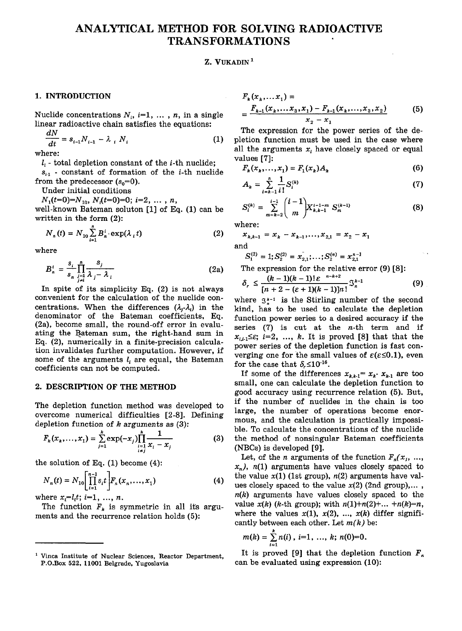# ANALYTICAL METHOD FOR SOLVING RADIOACTIVE TRANSFORMATIONS

#### Z. VUKADIN<sup>1</sup>

# 1. **INTRODUCTION**

Nuclide concentrations  $N_i$ ,  $i=1, \ldots, n$ , in a single linear radioactive chain satisfies the equations:

$$
\frac{dN}{dt} = s_{i-1} N_{i-1} - \lambda_i N_i
$$
 (1)

where:

 $l_i$  - total depletion constant of the *i*-th nuclide;

 $s_{i1}$  - constant of formation of the *i*-th nuclide from the predecessor  $(s_0=0)$ .

Under initial conditions

 $N_1(t=0)=N_{10}, N_1(t=0)=0; i=2, ..., n,$ 

well-known Bateman soluton [1] of Eq. (1) can be written in the form (2):

$$
N_{n}(t) = N_{10} \sum_{i=1}^{n} B_{n}^{i} \cdot \exp(\lambda_{i} t)
$$
 (2)

where

$$
B_n^i = \frac{s_i}{s_n} \prod_{\substack{j=1 \ i \neq i}}^n \frac{s_j}{\lambda_j - \lambda_i}
$$
 (2a)

In spite of its simplicity Eq. (2) is not always convenient for the calculation of the nuclide concentrations. When the differences  $(\lambda_i - \lambda_i)$  in the denominator of the Bateman coefficients, Eq. (2a), become small, the round-off error in evaluating the Bateman sum, the right-hand sum in Eq. (2), numerically in a finite-precision calculation invalidates further computation. However, if some of the arguments *I,* are equal, the Bateman coefficients can not be computed.

#### **2. DESCRIPTION OF THE METHOD**

The depletion function method was developed to overcome numerical difficulties [2-8]. Defining depletion function of  $k$  arguments as  $(3)$ :

$$
F_k(x_k,...,x_1) = \sum_{j=1}^k \exp(-x_j) \prod_{\substack{i=1 \ i \neq j}}^k \frac{1}{x_i - x_j}
$$
(3)

the solution of Eq.  $(1)$  become  $(4)$ :

$$
N_n(t) = N_{10} \left[ \prod_{i=1}^{n-1} s_i t \right] F_n(x_n, \dots, x_1)
$$
 (4)

where  $x_i = l_i t$ ; *i*=1, ..., *n*.

The function  $F_k$  is symmetric in all its arguments and the recurrence relation holds (5):

$$
F_k(x_k,...x_1) =
$$
  
= 
$$
\frac{F_{k-1}(x_k,...x_3,x_1) - F_{k-1}(x_k,...,x_3,x_2)}{x_2 - x_1}
$$
 (5)

The expression for the power series of the depletion function must be used in the case where all the arguments *x<sup>t</sup>* have closely spaced or equal values [7]:

$$
F_k(x_k,...,x_1) = F_1(x_k)A_k
$$
 (6)

$$
A_k = \sum_{i=k-1}^n \frac{1}{i!} S_i^{(k)} \tag{7}
$$

$$
S_i^{(k)} = \sum_{m=k-2}^{i-1} {i-1 \choose m} X_{k,k-1}^{i-1-m} S_m^{(k-1)}
$$
(8)

where:

$$
x_{k,k-1} = x_k - x_{k-1}, \dots, x_{2,1} = x_2 - x_1
$$
  
and

$$
S_1^{(2)} = 1; S_2^{(2)} = x_{2,1}^-, \ldots; S_2^{(n)} = x_{2,1}^{n-1}
$$

The expression for the relative error (9) [8]:

$$
\delta_r \leq \frac{(k-1)(k-1)! \,\varepsilon^{-n-k+2}}{[n+2-(\varepsilon+1)(k-1)]n!} \mathfrak{S}_n^{k-1} \tag{9}
$$

where  $\alpha_{k-1}$  is the Stirling number of the second kind, has to be used to calculate the depletion function power series to a desired accuracy if the series  $(7)$  is cut at the *n*-th term and if  $x_{i,i} \leq \varepsilon$ ; *i*=2, ..., *k*. It is proved [8] that that the power series of the depletion function is fast converging one for the small values of  $\varepsilon(\varepsilon \leq 0.1)$ , even verging one for the small<br>for the case that  $\delta < 10^{-16}$ 

If some of the differences  $x_{h,k-1} = x_k$   $x_{k-1}$  are too small, one can calculate the depletion function to good accuracy using recurrence relation (5). But, if the number of nuclides in the chain is too large, the number of operations become enormous, and the calculation is practically impossible. To calculate the concentrations of the nuclide the. method of nonsingular Bateman coefficients (NBCs) is developed [9].

Let, of the *n* arguments of the function  $F_n(x_1, \ldots, x_n)$  $x_n$ ),  $n(1)$  arguments have values closely spaced to the value  $x(1)$  (1st group),  $n(2)$  arguments have values closely spaced to the value  $x(2)$  (2nd group),...,  $n(k)$  arguments have values closely spaced to the value  $x(k)$  (*k*-th group); with  $n(1)+n(2)+...+n(k)=n$ , where the values  $x(1)$ ,  $x(2)$ , ...,  $x(k)$  differ significantly between each other. Let *m(k)* be:

$$
m(k)=\sum_{i=1}^k n(i), i=1, ..., k; n(0)=0.
$$

It is proved [9] that the depletion function  $F_n$ It is proved [9] that the depletion function  $\sum_{n=1}^{\infty}$ can be evaluated using expression (10):

<sup>1</sup> Vinca Institute of Nuclear Sciences, Reactor Department, P.O.Box 522, 11001 Belgrade, Yugoslavia